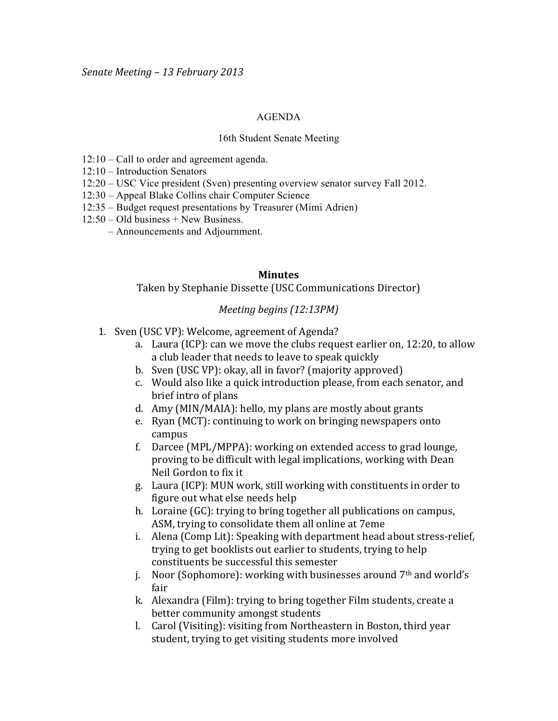## AGENDA

## 16th Student Senate Meeting

- 12:10 Call to order and agreement agenda.
- 12:10 Introduction Senators
- 12:20 USC Vice president (Sven) presenting overview senator survey Fall 2012.
- 12:30 Appeal Blake Collins chair Computer Science
- 12:35 Budget request presentations by Treasurer (Mimi Adrien)
- 12:50 Old business + New Business.
	- Announcements and Adjournment.

## **Minutes**

Taken by Stephanie Dissette (USC Communications Director)

## *Meeting begins (12:13PM)*

- 1. Sven (USC VP): Welcome, agreement of Agenda?
	- a. Laura (ICP): can we move the clubs request earlier on,  $12:20$ , to allow a club leader that needs to leave to speak quickly
	- b. Sven (USC VP): okay, all in favor? (majority approved)
	- c. Would also like a quick introduction please, from each senator, and brief intro of plans
	- d. Amy (MIN/MAIA): hello, my plans are mostly about grants
	- e. Ryan (MCT): continuing to work on bringing newspapers onto campus
	- f. Darcee (MPL/MPPA): working on extended access to grad lounge, proving to be difficult with legal implications, working with Dean Neil Gordon to fix it
	- g. Laura (ICP): MUN work, still working with constituents in order to figure out what else needs help
	- h. Loraine (GC): trying to bring together all publications on campus, ASM, trying to consolidate them all online at 7eme
	- i. Alena (Comp Lit): Speaking with department head about stress-relief, trying to get booklists out earlier to students, trying to help constituents be successful this semester
	- j. Noor (Sophomore): working with businesses around  $7<sup>th</sup>$  and world's fair
	- k. Alexandra (Film): trying to bring together Film students, create a better community amongst students
	- l. Carol (Visiting): visiting from Northeastern in Boston, third year student, trying to get visiting students more involved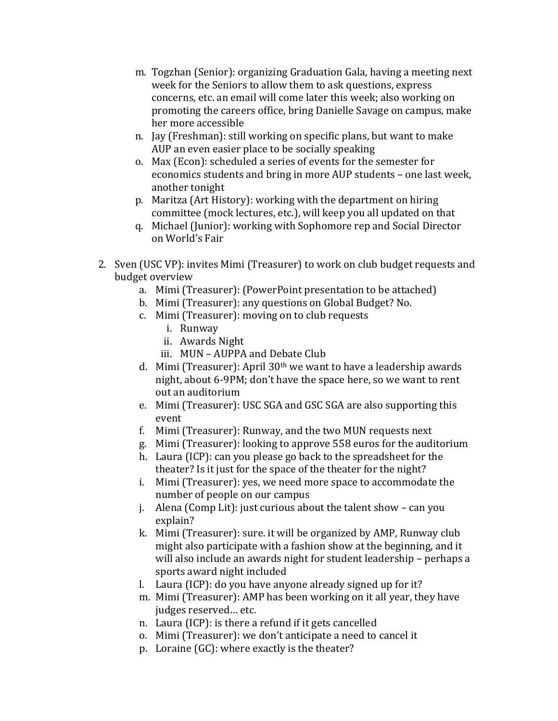- m. Togzhan (Senior): organizing Graduation Gala, having a meeting next week for the Seniors to allow them to ask questions, express concerns, etc. an email will come later this week; also working on promoting the careers office, bring Danielle Savage on campus, make her more accessible
- n. Jay (Freshman): still working on specific plans, but want to make AUP an even easier place to be socially speaking
- o. Max (Econ): scheduled a series of events for the semester for economics students and bring in more AUP students – one last week, another tonight
- p. Maritza (Art History): working with the department on hiring committee (mock lectures, etc.), will keep you all updated on that
- q. Michael (Junior): working with Sophomore rep and Social Director on World's Fair
- 2. Sven (USC VP): invites Mimi (Treasurer) to work on club budget requests and budget overview
	- a. Mimi (Treasurer): (PowerPoint presentation to be attached)
	- b. Mimi (Treasurer): any questions on Global Budget? No.
	- c. Mimi (Treasurer): moving on to club requests
		- i. Runway
		- ii. Awards Night
		- iii. MUN AUPPA and Debate Club
	- d. Mimi (Treasurer): April  $30<sup>th</sup>$  we want to have a leadership awards night, about 6-9PM; don't have the space here, so we want to rent out an auditorium
	- e. Mimi (Treasurer): USC SGA and GSC SGA are also supporting this event
	- f. Mimi (Treasurer): Runway, and the two MUN requests next
	- g. Mimi (Treasurer): looking to approve 558 euros for the auditorium
	- h. Laura (ICP): can you please go back to the spreadsheet for the theater? Is it just for the space of the theater for the night?
	- i. Mimi (Treasurer): yes, we need more space to accommodate the number of people on our campus
	- j. Alena (Comp Lit): just curious about the talent show can you explain?
	- k. Mimi (Treasurer): sure. it will be organized by AMP, Runway club might also participate with a fashion show at the beginning, and it will also include an awards night for student leadership – perhaps a sports award night included
	- l. Laura (ICP): do you have anyone already signed up for it?
	- m. Mimi (Treasurer): AMP has been working on it all year, they have judges reserved... etc.
	- n. Laura (ICP): is there a refund if it gets cancelled
	- o. Mimi (Treasurer): we don't anticipate a need to cancel it
	- p. Loraine  $(GC)$ : where exactly is the theater?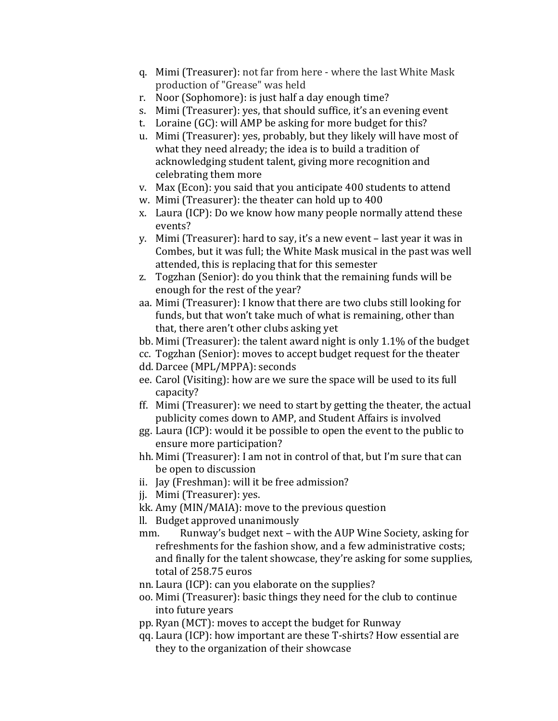- q. Mimi (Treasurer): not far from here where the last White Mask production of "Grease" was held
- r. Noor (Sophomore): is just half a day enough time?
- s. Mimi (Treasurer): yes, that should suffice, it's an evening event
- t. Loraine  $(GC)$ : will AMP be asking for more budget for this?
- u. Mimi (Treasurer): yes, probably, but they likely will have most of what they need already; the idea is to build a tradition of acknowledging student talent, giving more recognition and celebrating them more
- v. Max (Econ): you said that you anticipate 400 students to attend
- w. Mimi (Treasurer): the theater can hold up to 400
- x. Laura (ICP): Do we know how many people normally attend these events?
- y. Mimi (Treasurer): hard to say, it's a new event last year it was in Combes, but it was full; the White Mask musical in the past was well attended, this is replacing that for this semester
- z. Togzhan (Senior): do you think that the remaining funds will be enough for the rest of the year?
- aa. Mimi (Treasurer): I know that there are two clubs still looking for funds, but that won't take much of what is remaining, other than that, there aren't other clubs asking yet
- bb. Mimi (Treasurer): the talent award night is only  $1.1\%$  of the budget
- cc. Togzhan (Senior): moves to accept budget request for the theater
- dd. Darcee (MPL/MPPA): seconds
- ee. Carol (Visiting): how are we sure the space will be used to its full capacity?
- ff. Mimi (Treasurer): we need to start by getting the theater, the actual publicity comes down to AMP, and Student Affairs is involved
- gg. Laura (ICP): would it be possible to open the event to the public to ensure more participation?
- hh. Mimi (Treasurer): I am not in control of that, but I'm sure that can be open to discussion
- ii. Jay (Freshman): will it be free admission?
- ji. Mimi (Treasurer): yes.
- kk. Amy (MIN/MAIA): move to the previous question
- ll. Budget approved unanimously
- mm. Runway's budget next with the AUP Wine Society, asking for refreshments for the fashion show, and a few administrative costs; and finally for the talent showcase, they're asking for some supplies, total of 258.75 euros
- nn. Laura (ICP): can you elaborate on the supplies?
- oo. Mimi (Treasurer): basic things they need for the club to continue into future years
- pp. Ryan (MCT): moves to accept the budget for Runway
- qq. Laura (ICP): how important are these T-shirts? How essential are they to the organization of their showcase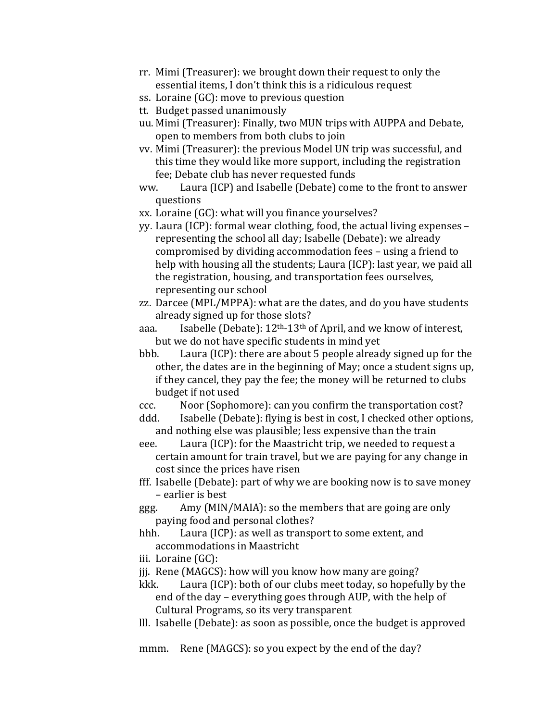- rr. Mimi (Treasurer): we brought down their request to only the essential items, I don't think this is a ridiculous request
- ss. Loraine (GC): move to previous question
- tt. Budget passed unanimously
- uu. Mimi (Treasurer): Finally, two MUN trips with AUPPA and Debate, open to members from both clubs to join
- vv. Mimi (Treasurer): the previous Model UN trip was successful, and this time they would like more support, including the registration fee; Debate club has never requested funds
- ww. Laura (ICP) and Isabelle (Debate) come to the front to answer questions
- xx. Loraine (GC): what will you finance yourselves?
- yy. Laura (ICP): formal wear clothing, food, the actual living expenses representing the school all day; Isabelle (Debate): we already compromised by dividing accommodation fees – using a friend to help with housing all the students; Laura (ICP): last year, we paid all the registration, housing, and transportation fees ourselves, representing our school
- zz. Darcee (MPL/MPPA): what are the dates, and do you have students already signed up for those slots?
- aaa. Isabelle (Debate):  $12<sup>th</sup> 13<sup>th</sup>$  of April, and we know of interest, but we do not have specific students in mind vet
- bbb. Laura (ICP): there are about 5 people already signed up for the other, the dates are in the beginning of May; once a student signs up, if they cancel, they pay the fee; the money will be returned to clubs budget if not used
- ccc. Noor (Sophomore): can you confirm the transportation cost?
- ddd. Isabelle (Debate): flying is best in cost, I checked other options, and nothing else was plausible; less expensive than the train
- eee. Laura (ICP): for the Maastricht trip, we needed to request a certain amount for train travel, but we are paying for any change in cost since the prices have risen
- fff. Isabelle (Debate): part of why we are booking now is to save money – earlier is best
- ggg. Amy (MIN/MAIA): so the members that are going are only paying food and personal clothes?
- hhh. Laura (ICP): as well as transport to some extent, and accommodations in Maastricht
- iii. Loraine  $(GC)$ :
- jij. Rene (MAGCS): how will you know how many are going?
- kkk. Laura (ICP): both of our clubs meet today, so hopefully by the end of the day – everything goes through AUP, with the help of Cultural Programs, so its very transparent
- lll. Isabelle (Debate): as soon as possible, once the budget is approved

mmm. Rene (MAGCS): so you expect by the end of the day?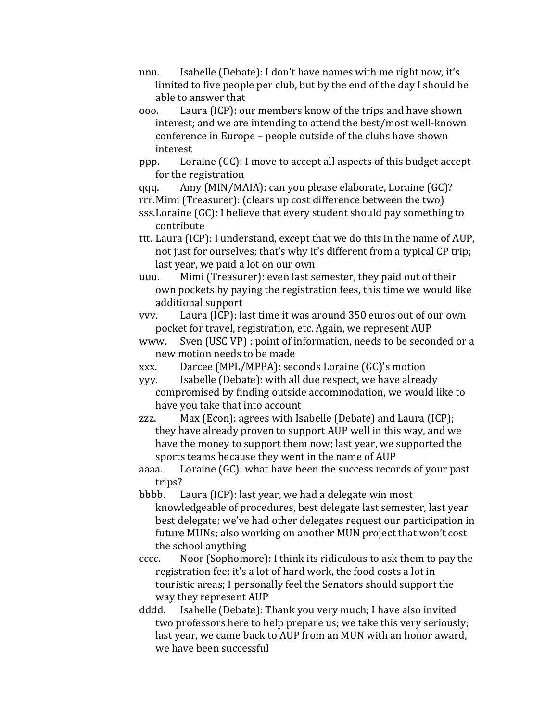- nnn. Isabelle (Debate): I don't have names with me right now, it's limited to five people per club, but by the end of the day I should be able to answer that
- ooo. Laura (ICP): our members know of the trips and have shown interest; and we are intending to attend the best/most well-known conference in Europe – people outside of the clubs have shown interest
- ppp. Loraine  $(GC)$ : I move to accept all aspects of this budget accept for the registration

qqq. Amy (MIN/MAIA): can you please elaborate, Loraine  $(GC)$ ?

rrr.Mimi (Treasurer): (clears up cost difference between the two)

- sss. Loraine (GC): I believe that every student should pay something to contribute
- ttt. Laura (ICP): I understand, except that we do this in the name of AUP, not just for ourselves; that's why it's different from a typical CP trip; last year, we paid a lot on our own
- uuu. Mimi (Treasurer): even last semester, they paid out of their own pockets by paying the registration fees, this time we would like additional support

vvv. Laura (ICP): last time it was around 350 euros out of our own pocket for travel, registration, etc. Again, we represent AUP

- www. Sven (USC VP): point of information, needs to be seconded or a new motion needs to be made
- xxx. Darcee (MPL/MPPA): seconds Loraine (GC)'s motion

yyy. Isabelle (Debate): with all due respect, we have already compromised by finding outside accommodation, we would like to have you take that into account

zzz.  $Max (Econ):$  agrees with Isabelle (Debate) and Laura (ICP); they have already proven to support AUP well in this way, and we have the money to support them now; last year, we supported the sports teams because they went in the name of AUP

aaaa. Loraine (GC): what have been the success records of your past trips?

bbbb. Laura (ICP): last year, we had a delegate win most knowledgeable of procedures, best delegate last semester, last year best delegate; we've had other delegates request our participation in future MUNs; also working on another MUN project that won't cost the school anything

- cccc. Noor (Sophomore): I think its ridiculous to ask them to pay the registration fee; it's a lot of hard work, the food costs a lot in touristic areas; I personally feel the Senators should support the way they represent AUP
- dddd. Isabelle (Debate): Thank you very much; I have also invited two professors here to help prepare us; we take this very seriously; last year, we came back to AUP from an MUN with an honor award, we have been successful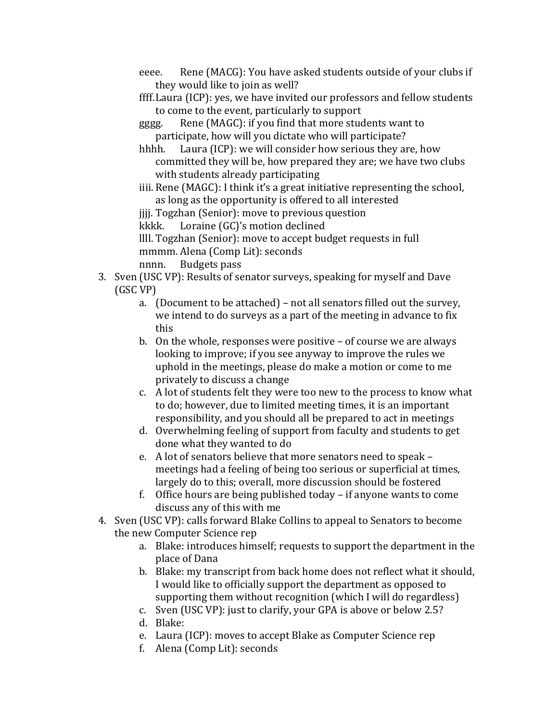- eeee. Rene (MACG): You have asked students outside of your clubs if they would like to join as well?
- ffff. Laura (ICP): yes, we have invited our professors and fellow students to come to the event, particularly to support
- gggg. Rene (MAGC): if you find that more students want to participate, how will you dictate who will participate?
- hhhh. Laura (ICP): we will consider how serious they are, how committed they will be, how prepared they are; we have two clubs with students already participating
- iiii. Rene (MAGC): I think it's a great initiative representing the school, as long as the opportunity is offered to all interested

jiji. Togzhan (Senior): move to previous question

kkkk. Loraine (GC)'s motion declined

llll. Togzhan (Senior): move to accept budget requests in full mmmm. Alena (Comp Lit): seconds

nnnn. Budgets pass

- 3. Sven (USC VP): Results of senator surveys, speaking for myself and Dave (GSC!VP)
	- a. (Document to be attached) not all senators filled out the survey, we intend to do surveys as a part of the meeting in advance to fix this
	- b. On the whole, responses were positive  $-$  of course we are always looking to improve; if you see anyway to improve the rules we uphold in the meetings, please do make a motion or come to me privately to discuss a change
	- c. A lot of students felt they were too new to the process to know what to do; however, due to limited meeting times, it is an important responsibility, and you should all be prepared to act in meetings
	- d. Overwhelming feeling of support from faculty and students to get done what they wanted to do
	- e. A lot of senators believe that more senators need to speak meetings had a feeling of being too serious or superficial at times, largely do to this; overall, more discussion should be fostered
	- f. Office hours are being published today if anyone wants to come discuss any of this with me
- 4. Sven (USC VP): calls forward Blake Collins to appeal to Senators to become the new Computer Science rep
	- a. Blake: introduces himself; requests to support the department in the place of Dana
	- b. Blake: my transcript from back home does not reflect what it should, I would like to officially support the department as opposed to supporting them without recognition (which I will do regardless)
	- c. Sven (USC VP): just to clarify, your GPA is above or below 2.5?
	- d. Blake:
	- e. Laura (ICP): moves to accept Blake as Computer Science rep
	- f. Alena (Comp Lit): seconds